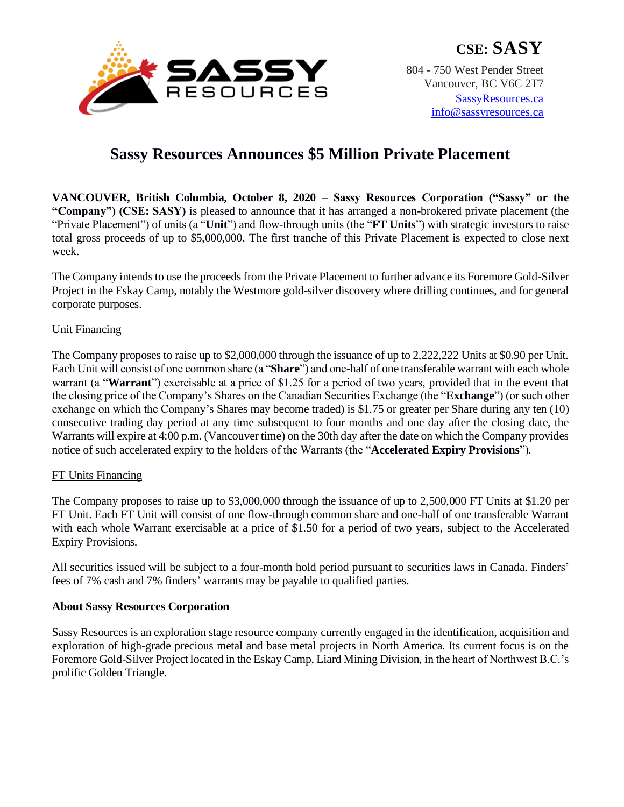

# **Sassy Resources Announces \$5 Million Private Placement**

**VANCOUVER, British Columbia, October 8, 2020 – Sassy Resources Corporation ("Sassy" or the "Company") (CSE: SASY)** is pleased to announce that it has arranged a non-brokered private placement (the "Private Placement") of units (a "**Unit**") and flow-through units (the "**FT Units**") with strategic investors to raise total gross proceeds of up to \$5,000,000. The first tranche of this Private Placement is expected to close next week.

The Company intends to use the proceeds from the Private Placement to further advance its Foremore Gold-Silver Project in the Eskay Camp, notably the Westmore gold-silver discovery where drilling continues, and for general corporate purposes.

## Unit Financing

The Company proposes to raise up to \$2,000,000 through the issuance of up to 2,222,222 Units at \$0.90 per Unit. Each Unit will consist of one common share (a "**Share**") and one-half of one transferable warrant with each whole warrant (a "**Warrant**") exercisable at a price of \$1.25 for a period of two years, provided that in the event that the closing price of the Company's Shares on the Canadian Securities Exchange (the "**Exchange**") (or such other exchange on which the Company's Shares may become traded) is \$1.75 or greater per Share during any ten (10) consecutive trading day period at any time subsequent to four months and one day after the closing date, the Warrants will expire at 4:00 p.m. (Vancouver time) on the 30th day after the date on which the Company provides notice of such accelerated expiry to the holders of the Warrants (the "**Accelerated Expiry Provisions**").

## FT Units Financing

The Company proposes to raise up to \$3,000,000 through the issuance of up to 2,500,000 FT Units at \$1.20 per FT Unit. Each FT Unit will consist of one flow-through common share and one-half of one transferable Warrant with each whole Warrant exercisable at a price of \$1.50 for a period of two years, subject to the Accelerated Expiry Provisions.

All securities issued will be subject to a four-month hold period pursuant to securities laws in Canada. Finders' fees of 7% cash and 7% finders' warrants may be payable to qualified parties.

## **About Sassy Resources Corporation**

Sassy Resources is an exploration stage resource company currently engaged in the identification, acquisition and exploration of high-grade precious metal and base metal projects in North America. Its current focus is on the Foremore Gold-Silver Project located in the Eskay Camp, Liard Mining Division, in the heart of Northwest B.C.'s prolific Golden Triangle.